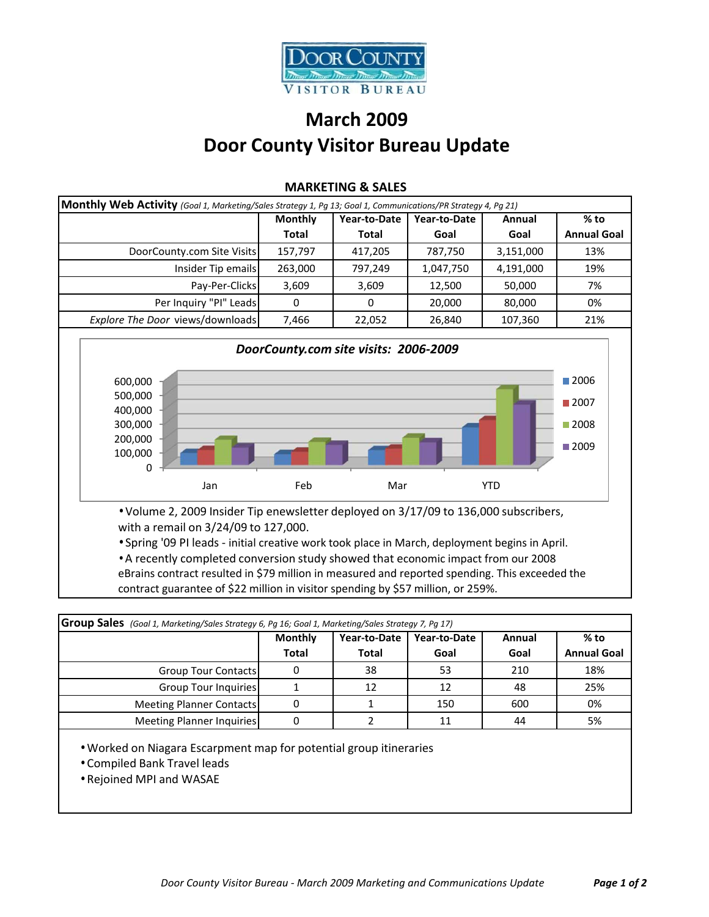

## **March 2009 Door County Visitor Bureau Update**

|                                               | <b>Monthly</b> | Year-to-Date | Year-to-Date | Annual     | % to                                                |
|-----------------------------------------------|----------------|--------------|--------------|------------|-----------------------------------------------------|
|                                               | <b>Total</b>   | <b>Total</b> | Goal         | Goal       | <b>Annual Goal</b>                                  |
| DoorCounty.com Site Visits                    | 157,797        | 417,205      | 787,750      | 3,151,000  | 13%                                                 |
| Insider Tip emails                            | 263,000        | 797,249      | 1,047,750    | 4,191,000  | 19%                                                 |
| Pay-Per-Clicks                                | 3,609          | 3,609        | 12,500       | 50,000     | 7%                                                  |
| Per Inquiry "PI" Leads                        | $\Omega$       | $\Omega$     | 20,000       | 80,000     | 0%                                                  |
| Explore The Door views/downloads              | 7,466          | 22,052       | 26,840       | 107,360    | 21%                                                 |
| 400,000<br>300,000<br>200,000<br>100,000<br>0 |                |              |              |            | $\blacksquare$ 2007<br>$\blacksquare$ 2008<br>■2009 |
| Jan                                           | Feb            | Mar          |              | <b>YTD</b> |                                                     |

## **MARKETING & SALES**

eBrains contract resulted in \$79 million in measured and reported spending. This exceeded the contract guarantee of \$22 million in visitor spending by \$57 million, or 259%.

| Group Sales (Goal 1, Marketing/Sales Strategy 6, Pg 16; Goal 1, Marketing/Sales Strategy 7, Pg 17) |                |              |              |        |                    |  |
|----------------------------------------------------------------------------------------------------|----------------|--------------|--------------|--------|--------------------|--|
|                                                                                                    | <b>Monthly</b> | Year-to-Date | Year-to-Date | Annual | % to               |  |
|                                                                                                    | <b>Total</b>   | <b>Total</b> | Goal         | Goal   | <b>Annual Goal</b> |  |
| <b>Group Tour Contacts</b>                                                                         |                | 38           | 53           | 210    | 18%                |  |
| Group Tour Inquiries                                                                               |                | 12           | 12           | 48     | 25%                |  |
| <b>Meeting Planner Contacts</b>                                                                    |                |              | 150          | 600    | 0%                 |  |
| Meeting Planner Inquiries                                                                          |                |              | 11           | 44     | 5%                 |  |

• Worked on Niagara Escarpment map for potential group itineraries

- Compiled Bank Travel leads
- Rejoined MPI and WASAE